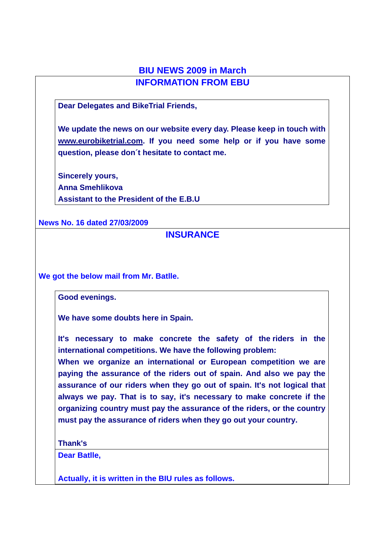## **BIU NEWS 2009 in March INFORMATION FROM EBU**

**Dear Delegates and BikeTrial Friends,** 

**We update the news on our website every day. Please keep in touch with www.eurobiketrial.com. If you need some help or if you have some question, please don´t hesitate to contact me.** 

**Sincerely yours, Anna Smehlikova Assistant to the President of the E.B.U**

**News No. 16 dated 27/03/2009**

### **INSURANCE**

**We got the below mail from Mr. Batlle.** 

**Good evenings.** 

**We have some doubts here in Spain.** 

**It's necessary to make concrete the safety of the riders in the international competitions. We have the following problem:** 

**When we organize an international or European competition we are paying the assurance of the riders out of spain. And also we pay the assurance of our riders when they go out of spain. It's not logical that always we pay. That is to say, it's necessary to make concrete if the organizing country must pay the assurance of the riders, or the country must pay the assurance of riders when they go out your country.** 

**Thank's** 

**Dear Batlle,** 

**Actually, it is written in the BIU rules as follows.**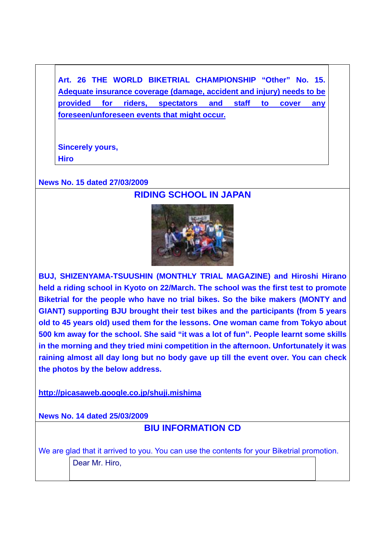**Art. 26 THE WORLD BIKETRIAL CHAMPIONSHIP "Other" No. 15. Adequate insurance coverage (damage, accident and injury) needs to be provided for riders, spectators and staff to cover any foreseen/unforeseen events that might occur.**

**Sincerely yours, Hiro** 

#### **News No. 15 dated 27/03/2009**

### **RIDING SCHOOL IN JAPAN**



**BUJ, SHIZENYAMA-TSUUSHIN (MONTHLY TRIAL MAGAZINE) and Hiroshi Hirano held a riding school in Kyoto on 22/March. The school was the first test to promote Biketrial for the people who have no trial bikes. So the bike makers (MONTY and GIANT) supporting BJU brought their test bikes and the participants (from 5 years old to 45 years old) used them for the lessons. One woman came from Tokyo about 500 km away for the school. She said "it was a lot of fun". People learnt some skills in the morning and they tried mini competition in the afternoon. Unfortunately it was raining almost all day long but no body gave up till the event over. You can check the photos by the below address.** 

**http://picasaweb.google.co.jp/shuji.mishima**

**News No. 14 dated 25/03/2009**

### **BIU INFORMATION CD**

We are glad that it arrived to you. You can use the contents for your Biketrial promotion. Dear Mr. Hiro,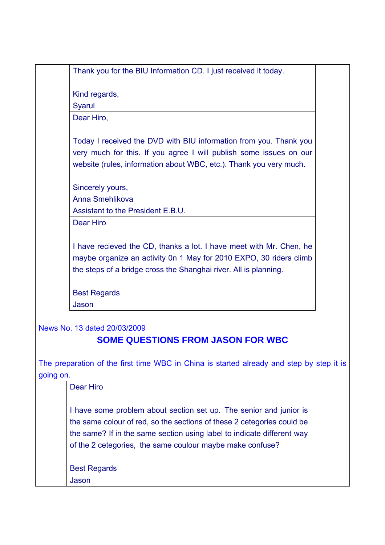Thank you for the BIU Information CD. I just received it today.

Kind regards,

**Svarul** 

Dear Hiro,

Today I received the DVD with BIU information from you. Thank you very much for this. If you agree I will publish some issues on our website (rules, information about WBC, etc.). Thank you very much.

Sincerely yours,

Anna Smehlikova

Assistant to the President F.B.U.

Dear Hiro

I have recieved the CD, thanks a lot. I have meet with Mr. Chen, he maybe organize an activity 0n 1 May for 2010 EXPO, 30 riders climb the steps of a bridge cross the Shanghai river. All is planning.

Best Regards Jason

News No. 13 dated 20/03/2009

## **SOME QUESTIONS FROM JASON FOR WBC**

The preparation of the first time WBC in China is started already and step by step it is going on.

Dear Hiro

I have some problem about section set up. The senior and junior is the same colour of red, so the sections of these 2 cetegories could be the same? If in the same section using label to indicate different way of the 2 cetegories, the same coulour maybe make confuse?

Best Regards

Jason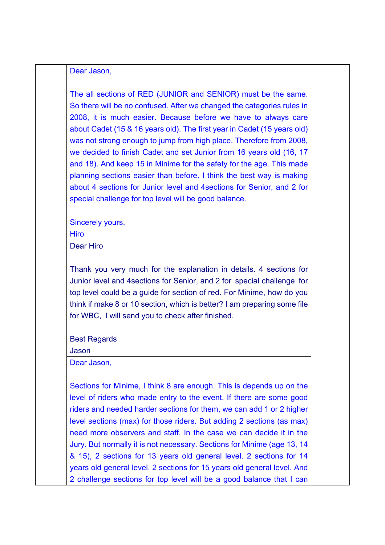Dear Jason,

The all sections of RED (JUNIOR and SENIOR) must be the same. So there will be no confused. After we changed the categories rules in 2008, it is much easier. Because before we have to always care about Cadet (15 & 16 years old). The first year in Cadet (15 years old) was not strong enough to jump from high place. Therefore from 2008, we decided to finish Cadet and set Junior from 16 years old (16, 17 and 18). And keep 15 in Minime for the safety for the age. This made planning sections easier than before. I think the best way is making about 4 sections for Junior level and 4sections for Senior, and 2 for special challenge for top level will be good balance.

Sincerely yours,

Hiro

Dear Hiro

Thank you very much for the explanation in details. 4 sections for Junior level and 4sections for Senior, and 2 for special challenge for top level could be a guide for section of red. For Minime, how do you think if make 8 or 10 section, which is better? I am preparing some file for WBC, I will send you to check after finished.

Best Regards

Jason

Dear Jason,

Sections for Minime, I think 8 are enough. This is depends up on the level of riders who made entry to the event. If there are some good riders and needed harder sections for them, we can add 1 or 2 higher level sections (max) for those riders. But adding 2 sections (as max) need more observers and staff. In the case we can decide it in the Jury. But normally it is not necessary. Sections for Minime (age 13, 14 & 15), 2 sections for 13 years old general level. 2 sections for 14 years old general level. 2 sections for 15 years old general level. And 2 challenge sections for top level will be a good balance that I can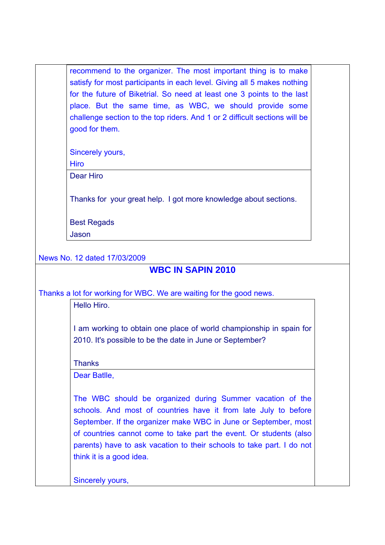recommend to the organizer. The most important thing is to make satisfy for most participants in each level. Giving all 5 makes nothing for the future of Biketrial. So need at least one 3 points to the last place. But the same time, as WBC, we should provide some challenge section to the top riders. And 1 or 2 difficult sections will be good for them.

Sincerely yours,

**Hiro** 

Dear Hiro

Thanks for your great help. I got more knowledge about sections.

Best Regads Jason

News No. 12 dated 17/03/2009

### **WBC IN SAPIN 2010**

Thanks a lot for working for WBC. We are waiting for the good news.

Hello Hiro.

I am working to obtain one place of world championship in spain for 2010. It's possible to be the date in June or September?

**Thanks** 

Dear Batlle,

The WBC should be organized during Summer vacation of the schools. And most of countries have it from late July to before September. If the organizer make WBC in June or September, most of countries cannot come to take part the event. Or students (also parents) have to ask vacation to their schools to take part. I do not think it is a good idea.

Sincerely yours,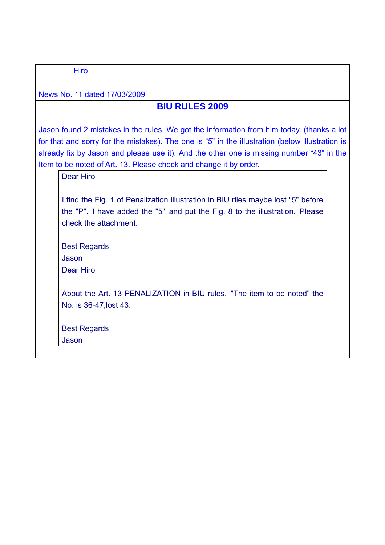**Hiro** 

News No. 11 dated 17/03/2009

## **BIU RULES 2009**

Jason found 2 mistakes in the rules. We got the information from him today. (thanks a lot for that and sorry for the mistakes). The one is "5" in the illustration (below illustration is already fix by Jason and please use it). And the other one is missing number "43" in the Item to be noted of Art. 13. Please check and change it by order.

Dear Hiro

I find the Fig. 1 of Penalization illustration in BIU riles maybe lost "5" before the "P". I have added the "5" and put the Fig. 8 to the illustration. Please check the attachment.

Best Regards

Jason

Dear Hiro

About the Art. 13 PENALIZATION in BIU rules, "The item to be noted" the No. is 36-47,lost 43.

Best Regards

Jason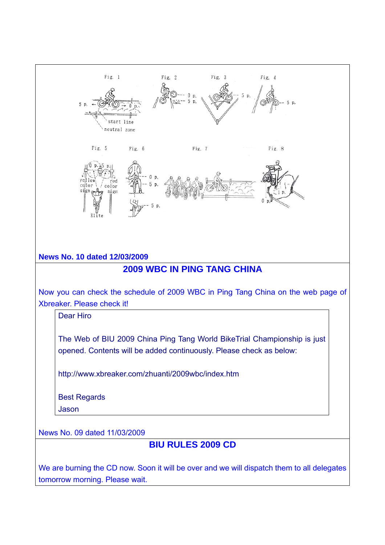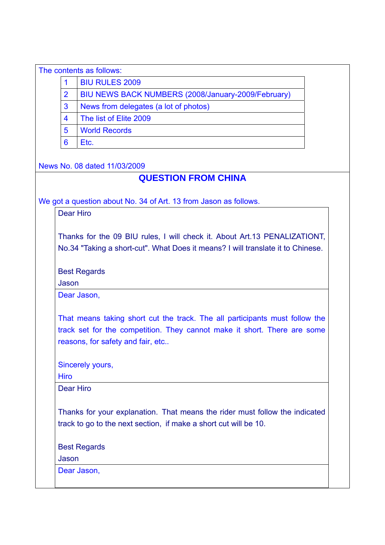|                                                                      | The contents as follows:                                         |  |  |  |  |
|----------------------------------------------------------------------|------------------------------------------------------------------|--|--|--|--|
|                                                                      | <b>BIU RULES 2009</b>                                            |  |  |  |  |
| $\overline{2}$<br>BIU NEWS BACK NUMBERS (2008/January-2009/February) |                                                                  |  |  |  |  |
| 3<br>News from delegates (a lot of photos)                           |                                                                  |  |  |  |  |
| 4                                                                    | The list of Elite 2009                                           |  |  |  |  |
| 5                                                                    | <b>World Records</b>                                             |  |  |  |  |
| 6                                                                    | Etc.                                                             |  |  |  |  |
|                                                                      | News No. 08 dated 11/03/2009                                     |  |  |  |  |
|                                                                      | <b>QUESTION FROM CHINA</b>                                       |  |  |  |  |
|                                                                      | We got a question about No. 34 of Art. 13 from Jason as follows. |  |  |  |  |
|                                                                      | Dear Hiro                                                        |  |  |  |  |

Thanks for the 09 BIU rules, I will check it. About Art.13 PENALIZATIONT, No.34 "Taking a short-cut". What Does it means? I will translate it to Chinese.

Best Regards

Jason

Dear Jason,

That means taking short cut the track. The all participants must follow the track set for the competition. They cannot make it short. There are some reasons, for safety and fair, etc..

Sincerely yours,

Hiro

Dear Hiro

Thanks for your explanation. That means the rider must follow the indicated track to go to the next section, if make a short cut will be 10.

Best Regards

Jason

Dear Jason,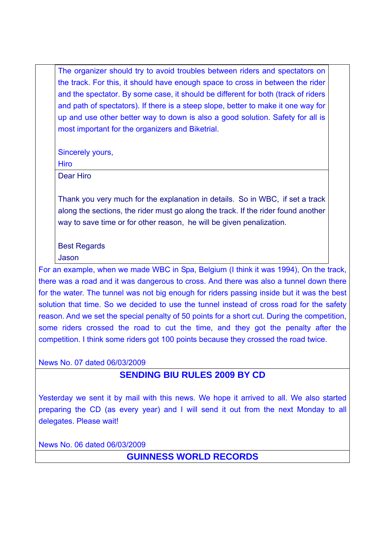The organizer should try to avoid troubles between riders and spectators on the track. For this, it should have enough space to cross in between the rider and the spectator. By some case, it should be different for both (track of riders and path of spectators). If there is a steep slope, better to make it one way for up and use other better way to down is also a good solution. Safety for all is most important for the organizers and Biketrial.

Sincerely yours,

**Hiro** 

Dear Hiro

Thank you very much for the explanation in details. So in WBC, if set a track along the sections, the rider must go along the track. If the rider found another way to save time or for other reason, he will be given penalization.

# Best Regards

Jason

For an example, when we made WBC in Spa, Belgium (I think it was 1994), On the track, there was a road and it was dangerous to cross. And there was also a tunnel down there for the water. The tunnel was not big enough for riders passing inside but it was the best solution that time. So we decided to use the tunnel instead of cross road for the safety reason. And we set the special penalty of 50 points for a short cut. During the competition, some riders crossed the road to cut the time, and they got the penalty after the competition. I think some riders got 100 points because they crossed the road twice.

News No. 07 dated 06/03/2009

# **SENDING BIU RULES 2009 BY CD**

Yesterday we sent it by mail with this news. We hope it arrived to all. We also started preparing the CD (as every year) and I will send it out from the next Monday to all delegates. Please wait!

News No. 06 dated 06/03/2009

**GUINNESS WORLD RECORDS**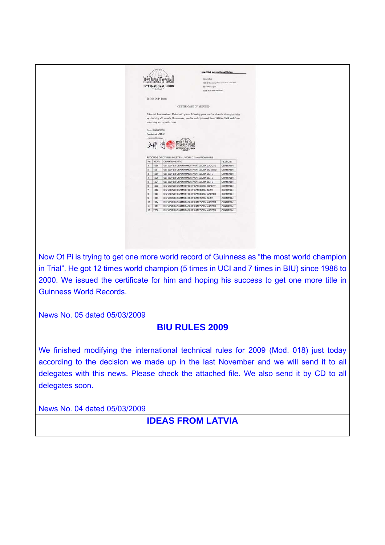|                                                                                             | INTERNATIONAL UNION                                                                                                                                                                                                                                                      | <b>RikeTrial International Union</b><br>Nead office<br>759-27 Kennonji Cho. Mar-Ken. Tau-Shi<br>514-0082 Japan<br>Tal & Fax: 000-220-2557 |  |  |
|---------------------------------------------------------------------------------------------|--------------------------------------------------------------------------------------------------------------------------------------------------------------------------------------------------------------------------------------------------------------------------|-------------------------------------------------------------------------------------------------------------------------------------------|--|--|
|                                                                                             | To: Mr. Ot Pi Isern                                                                                                                                                                                                                                                      |                                                                                                                                           |  |  |
|                                                                                             |                                                                                                                                                                                                                                                                          |                                                                                                                                           |  |  |
|                                                                                             | <b>CERTIFICATE OF RESULTS</b>                                                                                                                                                                                                                                            |                                                                                                                                           |  |  |
|                                                                                             | Biketrial International Union will prove following your results of world championships<br>by checking all records (documents, results and diplomas) from 1986 to 2008 and there<br>is nothing wrong with them.<br>Date: 05/03/2009<br>President of BIU<br>Hiroshi Hirano |                                                                                                                                           |  |  |
|                                                                                             |                                                                                                                                                                                                                                                                          |                                                                                                                                           |  |  |
|                                                                                             | RECORDS OF OT PI IN BIKETRIAL WORLD CHAMPIONSHIPS                                                                                                                                                                                                                        |                                                                                                                                           |  |  |
| No.<br>$\mathbf{1}$                                                                         | YEAR<br>CHAMPIONSHIPS<br>1986<br>UCI WORLD CHAMPIONSHIP CATEGORY CADETS                                                                                                                                                                                                  | <b>RESULTS</b><br>CHAMPION                                                                                                                |  |  |
| $\overline{2}$                                                                              | UCI WORLD CHAMPIONSHIP CATEGORY SCRATCH<br>1987                                                                                                                                                                                                                          | CHAMPION                                                                                                                                  |  |  |
| $\overline{a}$                                                                              | 1989<br>UCI WORLD CHAMPIONSHIP CATEGORY ELITE                                                                                                                                                                                                                            | CHAMPION                                                                                                                                  |  |  |
| $\blacktriangle$                                                                            | 1990<br>UCI WORLD CHAMPIONSHIP CATEGORY ELITE                                                                                                                                                                                                                            | CHAMPION                                                                                                                                  |  |  |
| 5                                                                                           | 1991<br>UCI WORLD CHAMPIONSHIP CATEGORY ELITE                                                                                                                                                                                                                            | CHAMPION                                                                                                                                  |  |  |
| i 6                                                                                         | BIU WORLD CHAMPIONSHIP CATEGORY EXPERT<br>1992                                                                                                                                                                                                                           | CHAMPION                                                                                                                                  |  |  |
| $\tau$                                                                                      | 1992<br>BIU WORLD CHAMPIONSHIP CATEGORY ELITE                                                                                                                                                                                                                            | CHAMPION                                                                                                                                  |  |  |
| ×                                                                                           | 1993<br>BIU WORLD CHAMPIONSHIP CATEGORY MASTER                                                                                                                                                                                                                           | CHAMPION                                                                                                                                  |  |  |
| $\theta$                                                                                    | BIU WORLD CHAMPIONSHIP CATEGORY ELITE<br>1993                                                                                                                                                                                                                            | CHAMPION                                                                                                                                  |  |  |
| 10                                                                                          | BIU WORLD CHAMPIONSHIP CATEGORY MASTER<br>1994                                                                                                                                                                                                                           | CHAMPION                                                                                                                                  |  |  |
| 11                                                                                          | 1995<br>BIU WORLD CHAMPIONSHIP CATEGORY MASTER                                                                                                                                                                                                                           | CHAMPION                                                                                                                                  |  |  |
| 12                                                                                          | 2000<br>BIU WORLD CHAMPIONSHIP CATEGORY MASTER                                                                                                                                                                                                                           | CHAMPION                                                                                                                                  |  |  |
|                                                                                             |                                                                                                                                                                                                                                                                          |                                                                                                                                           |  |  |
| Now Ot Pi is trying to get one more world record of Guinness as "the most world champion    |                                                                                                                                                                                                                                                                          |                                                                                                                                           |  |  |
|                                                                                             |                                                                                                                                                                                                                                                                          |                                                                                                                                           |  |  |
| in Trial". He got 12 times world champion (5 times in UCI and 7 times in BIU) since 1986 to |                                                                                                                                                                                                                                                                          |                                                                                                                                           |  |  |
| 2000. We issued the certificate for him and hoping his success to get one more title in     |                                                                                                                                                                                                                                                                          |                                                                                                                                           |  |  |

Guinness World Records.

News No. 05 dated 05/03/2009

# **BIU RULES 2009**

We finished modifying the international technical rules for 2009 (Mod. 018) just today according to the decision we made up in the last November and we will send it to all delegates with this news. Please check the attached file. We also send it by CD to all delegates soon.

News No. 04 dated 05/03/2009

## **IDEAS FROM LATVIA**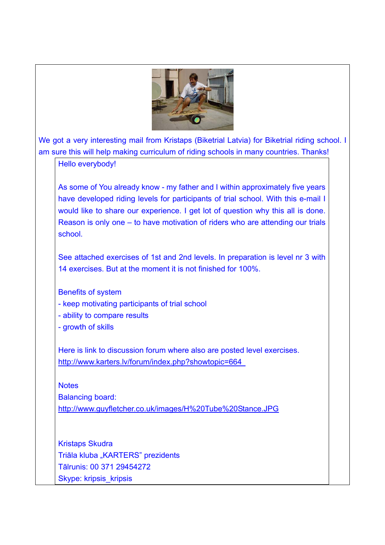

We got a very interesting mail from Kristaps (Biketrial Latvia) for Biketrial riding school. I am sure this will help making curriculum of riding schools in many countries. Thanks!

### Hello everybody!

As some of You already know - my father and I within approximately five years have developed riding levels for participants of trial school. With this e-mail I would like to share our experience. I get lot of question why this all is done. Reason is only one – to have motivation of riders who are attending our trials school.

See attached exercises of 1st and 2nd levels. In preparation is level nr 3 with 14 exercises. But at the moment it is not finished for 100%.

Benefits of system - keep motivating participants of trial school - ability to compare results - growth of skills

Here is link to discussion forum where also are posted level exercises. http://www.karters.lv/forum/index.php?showtopic=664

**Notes** 

Balancing board:

http://www.guyfletcher.co.uk/images/H%20Tube%20Stance.JPG

Kristaps Skudra Triāla kluba "KARTERS" prezidents Tālrunis: 00 371 29454272 Skype: kripsis\_kripsis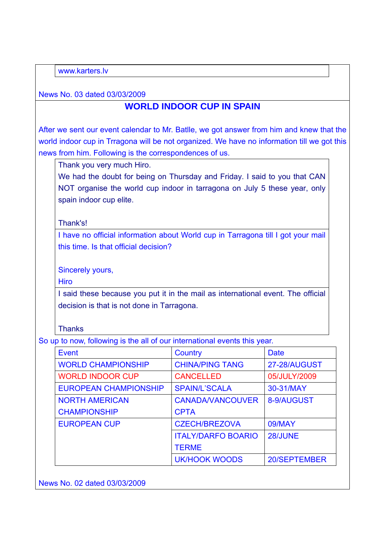www.karters.lv

News No. 03 dated 03/03/2009

# **WORLD INDOOR CUP IN SPAIN**

After we sent our event calendar to Mr. Batlle, we got answer from him and knew that the world indoor cup in Trragona will be not organized. We have no information till we got this news from him. Following is the correspondences of us.

Thank you very much Hiro.

We had the doubt for being on Thursday and Friday. I said to you that CAN NOT organise the world cup indoor in tarragona on July 5 these year, only spain indoor cup elite.

Thank's!

I have no official information about World cup in Tarragona till I got your mail this time. Is that official decision?

Sincerely yours,

**Hiro** 

I said these because you put it in the mail as international event. The official decision is that is not done in Tarragona.

**Thanks** 

So up to now, following is the all of our international events this year.

| Event                        | Country                   | <b>Date</b>  |
|------------------------------|---------------------------|--------------|
| <b>WORLD CHAMPIONSHIP</b>    | <b>CHINA/PING TANG</b>    | 27-28/AUGUST |
| <b>WORLD INDOOR CUP</b>      | <b>CANCELLED</b>          | 05/JULY/2009 |
| <b>EUROPEAN CHAMPIONSHIP</b> | <b>SPAIN/L'SCALA</b>      | 30-31/MAY    |
| <b>NORTH AMERICAN</b>        | <b>CANADA/VANCOUVER</b>   | 8-9/AUGUST   |
| <b>CHAMPIONSHIP</b>          | <b>CPTA</b>               |              |
| <b>EUROPEAN CUP</b>          | <b>CZECH/BREZOVA</b>      | 09/MAY       |
|                              | <b>ITALY/DARFO BOARIO</b> | 28/JUNE      |
|                              | <b>TERME</b>              |              |
|                              | <b>UK/HOOK WOODS</b>      | 20/SEPTEMBER |

News No. 02 dated 03/03/2009